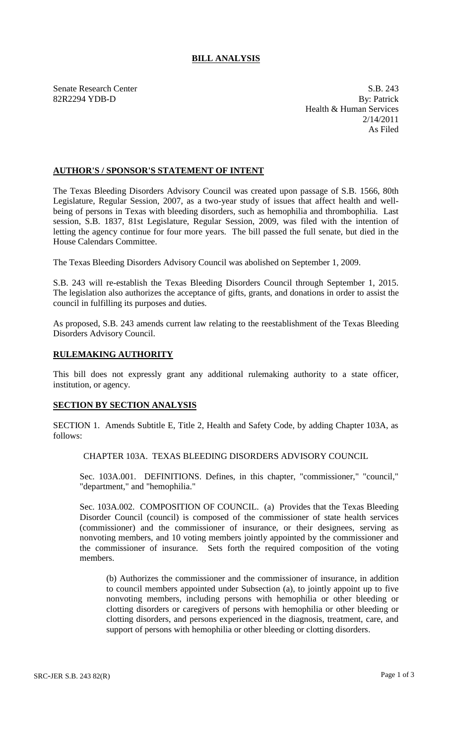## **BILL ANALYSIS**

Senate Research Center S.B. 243 82R2294 YDB-D By: Patrick Health & Human Services 2/14/2011 As Filed

## **AUTHOR'S / SPONSOR'S STATEMENT OF INTENT**

The Texas Bleeding Disorders Advisory Council was created upon passage of S.B. 1566, 80th Legislature, Regular Session, 2007, as a two-year study of issues that affect health and wellbeing of persons in Texas with bleeding disorders, such as hemophilia and thrombophilia. Last session, S.B. 1837, 81st Legislature, Regular Session, 2009, was filed with the intention of letting the agency continue for four more years. The bill passed the full senate, but died in the House Calendars Committee.

The Texas Bleeding Disorders Advisory Council was abolished on September 1, 2009.

S.B. 243 will re-establish the Texas Bleeding Disorders Council through September 1, 2015. The legislation also authorizes the acceptance of gifts, grants, and donations in order to assist the council in fulfilling its purposes and duties.

As proposed, S.B. 243 amends current law relating to the reestablishment of the Texas Bleeding Disorders Advisory Council.

## **RULEMAKING AUTHORITY**

This bill does not expressly grant any additional rulemaking authority to a state officer, institution, or agency.

## **SECTION BY SECTION ANALYSIS**

SECTION 1. Amends Subtitle E, Title 2, Health and Safety Code, by adding Chapter 103A, as follows:

CHAPTER 103A. TEXAS BLEEDING DISORDERS ADVISORY COUNCIL

Sec. 103A.001. DEFINITIONS. Defines, in this chapter, "commissioner," "council," "department," and "hemophilia."

Sec. 103A.002. COMPOSITION OF COUNCIL. (a) Provides that the Texas Bleeding Disorder Council (council) is composed of the commissioner of state health services (commissioner) and the commissioner of insurance, or their designees, serving as nonvoting members, and 10 voting members jointly appointed by the commissioner and the commissioner of insurance. Sets forth the required composition of the voting members.

(b) Authorizes the commissioner and the commissioner of insurance, in addition to council members appointed under Subsection (a), to jointly appoint up to five nonvoting members, including persons with hemophilia or other bleeding or clotting disorders or caregivers of persons with hemophilia or other bleeding or clotting disorders, and persons experienced in the diagnosis, treatment, care, and support of persons with hemophilia or other bleeding or clotting disorders.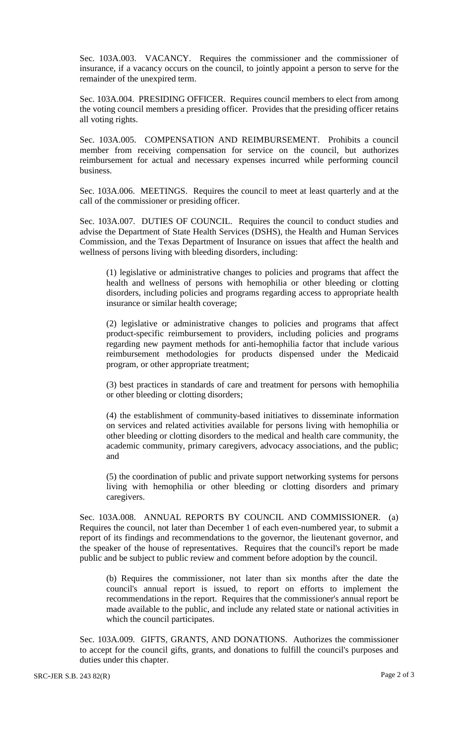Sec. 103A.003. VACANCY. Requires the commissioner and the commissioner of insurance, if a vacancy occurs on the council, to jointly appoint a person to serve for the remainder of the unexpired term.

Sec. 103A.004. PRESIDING OFFICER. Requires council members to elect from among the voting council members a presiding officer. Provides that the presiding officer retains all voting rights.

Sec. 103A.005. COMPENSATION AND REIMBURSEMENT. Prohibits a council member from receiving compensation for service on the council, but authorizes reimbursement for actual and necessary expenses incurred while performing council business.

Sec. 103A.006. MEETINGS. Requires the council to meet at least quarterly and at the call of the commissioner or presiding officer.

Sec. 103A.007. DUTIES OF COUNCIL. Requires the council to conduct studies and advise the Department of State Health Services (DSHS), the Health and Human Services Commission, and the Texas Department of Insurance on issues that affect the health and wellness of persons living with bleeding disorders, including:

(1) legislative or administrative changes to policies and programs that affect the health and wellness of persons with hemophilia or other bleeding or clotting disorders, including policies and programs regarding access to appropriate health insurance or similar health coverage;

(2) legislative or administrative changes to policies and programs that affect product-specific reimbursement to providers, including policies and programs regarding new payment methods for anti-hemophilia factor that include various reimbursement methodologies for products dispensed under the Medicaid program, or other appropriate treatment;

(3) best practices in standards of care and treatment for persons with hemophilia or other bleeding or clotting disorders;

(4) the establishment of community-based initiatives to disseminate information on services and related activities available for persons living with hemophilia or other bleeding or clotting disorders to the medical and health care community, the academic community, primary caregivers, advocacy associations, and the public; and

(5) the coordination of public and private support networking systems for persons living with hemophilia or other bleeding or clotting disorders and primary caregivers.

Sec. 103A.008. ANNUAL REPORTS BY COUNCIL AND COMMISSIONER. (a) Requires the council, not later than December 1 of each even-numbered year, to submit a report of its findings and recommendations to the governor, the lieutenant governor, and the speaker of the house of representatives. Requires that the council's report be made public and be subject to public review and comment before adoption by the council.

(b) Requires the commissioner, not later than six months after the date the council's annual report is issued, to report on efforts to implement the recommendations in the report. Requires that the commissioner's annual report be made available to the public, and include any related state or national activities in which the council participates.

Sec. 103A.009. GIFTS, GRANTS, AND DONATIONS. Authorizes the commissioner to accept for the council gifts, grants, and donations to fulfill the council's purposes and duties under this chapter.